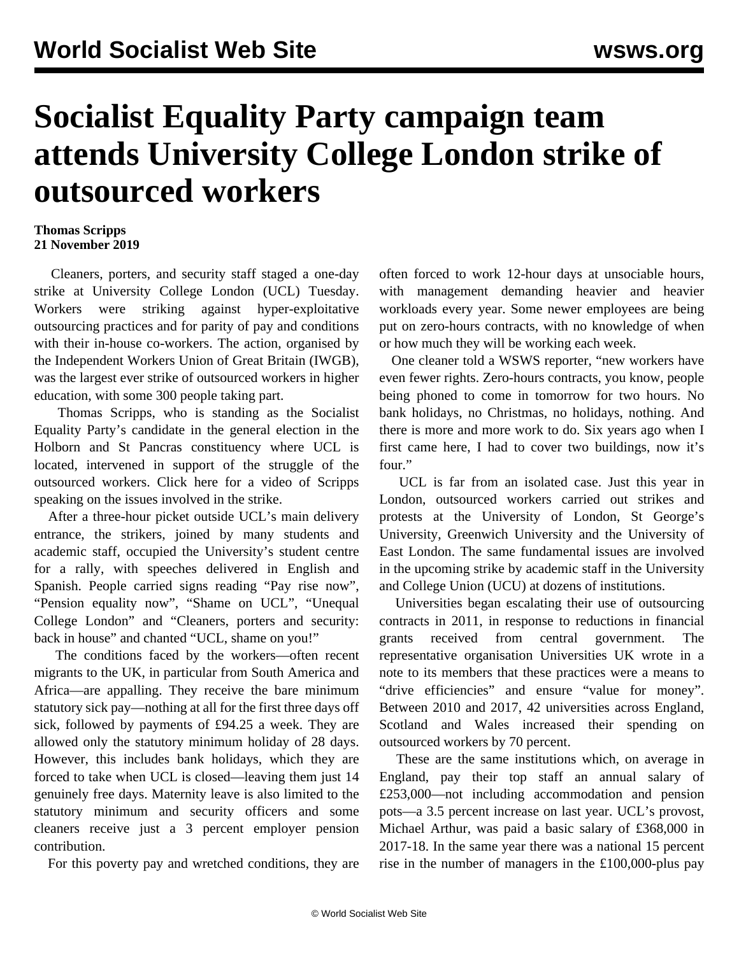## **Socialist Equality Party campaign team attends University College London strike of outsourced workers**

## **Thomas Scripps 21 November 2019**

 Cleaners, porters, and security staff staged a one-day strike at University College London (UCL) Tuesday. Workers were striking against hyper-exploitative outsourcing practices and for parity of pay and conditions with their in-house co-workers. The action, organised by the Independent Workers Union of Great Britain (IWGB), was the largest ever strike of outsourced workers in higher education, with some 300 people taking part.

 Thomas Scripps, who is standing as the Socialist Equality Party's candidate in the general election in the Holborn and St Pancras constituency where UCL is located, intervened in support of the struggle of the outsourced workers. [Click here for a video](https://twitter.com/Sep_london/status/1196824142273798144) of Scripps speaking on the issues involved in the strike.

 After a three-hour picket outside UCL's main delivery entrance, the strikers, joined by many students and academic staff, occupied the University's student centre for a rally, with speeches delivered in English and Spanish. People carried signs reading "Pay rise now", "Pension equality now", "Shame on UCL", "Unequal College London" and "Cleaners, porters and security: back in house" and chanted "UCL, shame on you!"

 The conditions faced by the workers—often recent migrants to the UK, in particular from South America and Africa—are appalling. They receive the bare minimum statutory sick pay—nothing at all for the first three days off sick, followed by payments of £94.25 a week. They are allowed only the statutory minimum holiday of 28 days. However, this includes bank holidays, which they are forced to take when UCL is closed—leaving them just 14 genuinely free days. Maternity leave is also limited to the statutory minimum and security officers and some cleaners receive just a 3 percent employer pension contribution.

For this poverty pay and wretched conditions, they are

often forced to work 12-hour days at unsociable hours, with management demanding heavier and heavier workloads every year. Some newer employees are being put on zero-hours contracts, with no knowledge of when or how much they will be working each week.

 One cleaner told a WSWS reporter, "new workers have even fewer rights. Zero-hours contracts, you know, people being phoned to come in tomorrow for two hours. No bank holidays, no Christmas, no holidays, nothing. And there is more and more work to do. Six years ago when I first came here, I had to cover two buildings, now it's four."

 UCL is far from an isolated case. Just this year in London, outsourced workers carried out strikes and protests at the University of London, St George's University, Greenwich University and the University of East London. The same fundamental issues are involved in the upcoming [strike](/en/articles/2019/11/04/unis-n04.html) by academic staff in the University and College Union (UCU) at dozens of institutions.

 Universities began escalating their use of outsourcing contracts in 2011, in response to reductions in financial grants received from central government. The representative organisation Universities UK wrote in a note to its members that these practices were a means to "drive efficiencies" and ensure "value for money". Between 2010 and 2017, 42 universities across England, Scotland and Wales increased their spending on outsourced workers by 70 percent.

 These are the same institutions which, on average in England, pay their top staff an annual salary of £253,000—not including accommodation and pension pots—a 3.5 percent increase on last year. UCL's provost, Michael Arthur, was paid a basic salary of £368,000 in 2017-18. In the same year there was a national 15 percent rise in the number of managers in the £100,000-plus pay